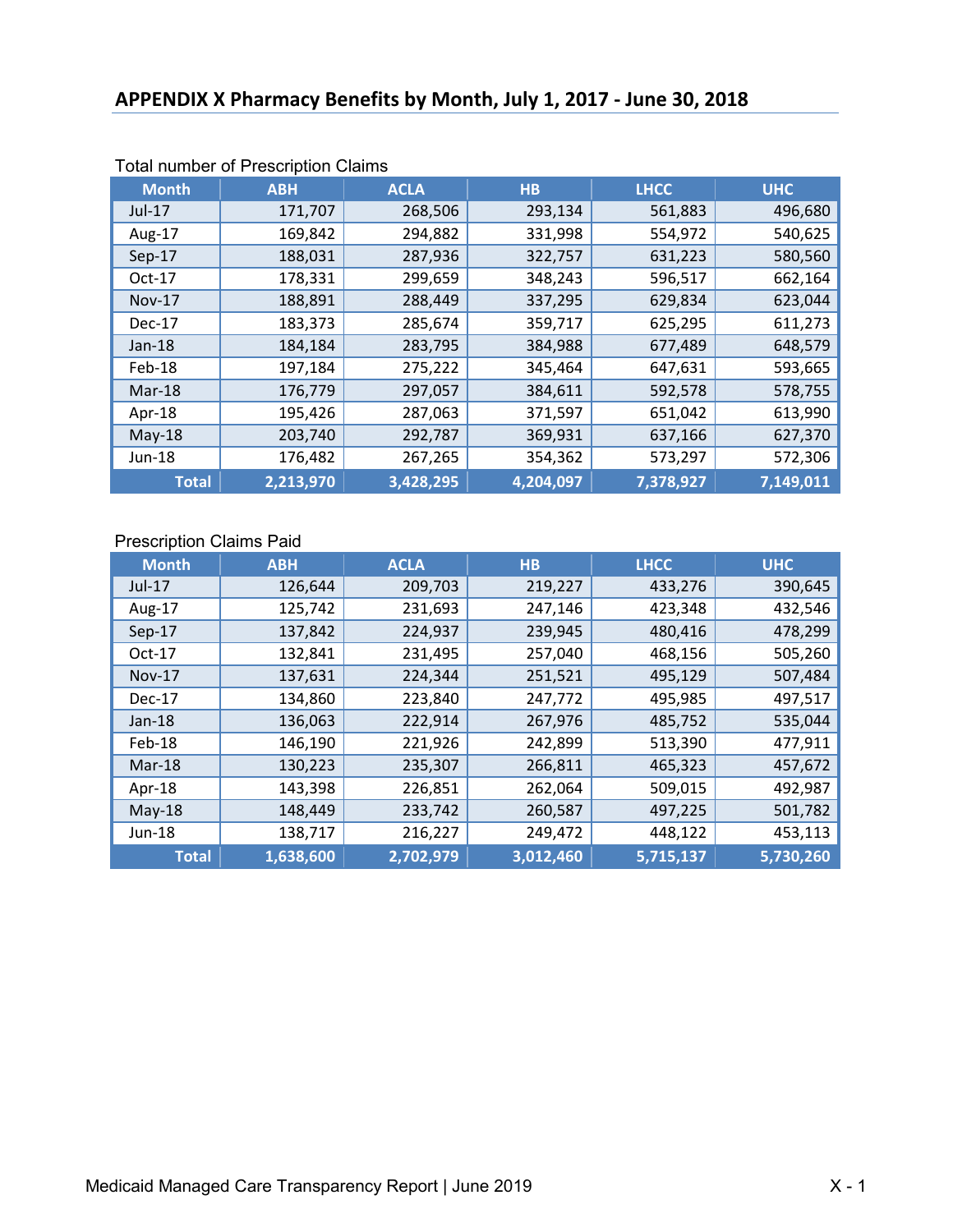| <b>Month</b>  | <b>ABH</b> | <b>ACLA</b> | H <sub>B</sub> | <b>LHCC</b> | <b>UHC</b> |
|---------------|------------|-------------|----------------|-------------|------------|
| $Jul-17$      | 171,707    | 268,506     | 293,134        | 561,883     | 496,680    |
| Aug-17        | 169,842    | 294,882     | 331,998        | 554,972     | 540,625    |
| $Sep-17$      | 188,031    | 287,936     | 322,757        | 631,223     | 580,560    |
| Oct-17        | 178,331    | 299,659     | 348,243        | 596,517     | 662,164    |
| <b>Nov-17</b> | 188,891    | 288,449     | 337,295        | 629,834     | 623,044    |
| Dec-17        | 183,373    | 285,674     | 359,717        | 625,295     | 611,273    |
| Jan-18        | 184,184    | 283,795     | 384,988        | 677,489     | 648,579    |
| Feb-18        | 197,184    | 275,222     | 345,464        | 647,631     | 593,665    |
| $Mar-18$      | 176,779    | 297,057     | 384,611        | 592,578     | 578,755    |
| Apr-18        | 195,426    | 287,063     | 371,597        | 651,042     | 613,990    |
| $May-18$      | 203,740    | 292,787     | 369,931        | 637,166     | 627,370    |
| <b>Jun-18</b> | 176,482    | 267,265     | 354,362        | 573,297     | 572,306    |
| <b>Total</b>  | 2,213,970  | 3,428,295   | 4,204,097      | 7,378,927   | 7,149,011  |

## Total number of Prescription Claims

## Prescription Claims Paid

| <b>Month</b>  | <b>ABH</b> | <b>ACLA</b> | <b>HB</b> | <b>LHCC</b> | <b>UHC</b> |
|---------------|------------|-------------|-----------|-------------|------------|
| Jul-17        | 126,644    | 209,703     | 219,227   | 433,276     | 390,645    |
| Aug-17        | 125,742    | 231,693     | 247,146   | 423,348     | 432,546    |
| $Sep-17$      | 137,842    | 224,937     | 239,945   | 480,416     | 478,299    |
| Oct-17        | 132,841    | 231,495     | 257,040   | 468,156     | 505,260    |
| <b>Nov-17</b> | 137,631    | 224,344     | 251,521   | 495,129     | 507,484    |
| Dec-17        | 134,860    | 223,840     | 247,772   | 495,985     | 497,517    |
| $Jan-18$      | 136,063    | 222,914     | 267,976   | 485,752     | 535,044    |
| Feb-18        | 146,190    | 221,926     | 242,899   | 513,390     | 477,911    |
| Mar-18        | 130,223    | 235,307     | 266,811   | 465,323     | 457,672    |
| Apr-18        | 143,398    | 226,851     | 262,064   | 509,015     | 492,987    |
| $May-18$      | 148,449    | 233,742     | 260,587   | 497,225     | 501,782    |
| <b>Jun-18</b> | 138,717    | 216,227     | 249,472   | 448,122     | 453,113    |
| <b>Total</b>  | 1,638,600  | 2,702,979   | 3,012,460 | 5,715,137   | 5,730,260  |